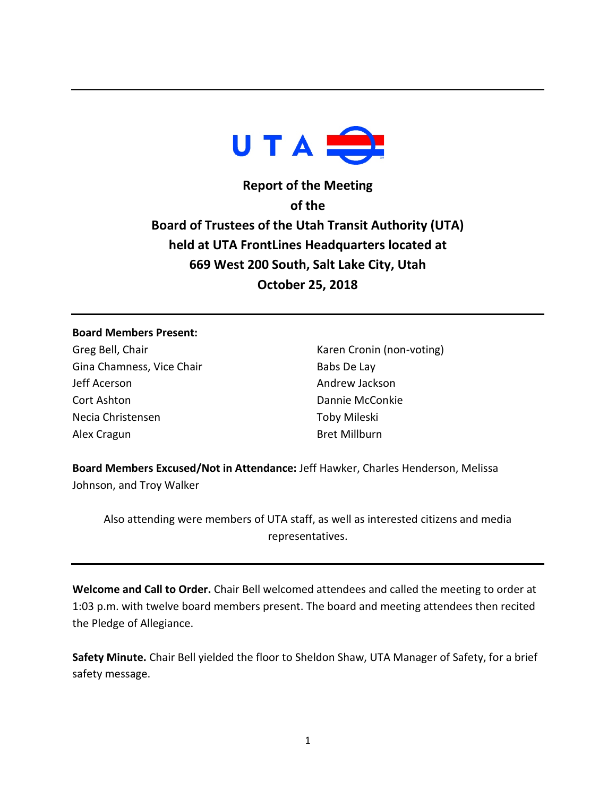

**Report of the Meeting of the Board of Trustees of the Utah Transit Authority (UTA) held at UTA FrontLines Headquarters located at 669 West 200 South, Salt Lake City, Utah October 25, 2018**

### **Board Members Present:**

Greg Bell, Chair Gina Chamness, Vice Chair Jeff Acerson Cort Ashton Necia Christensen Alex Cragun

Karen Cronin (non-voting) Babs De Lay Andrew Jackson Dannie McConkie Toby Mileski Bret Millburn

**Board Members Excused/Not in Attendance:** Jeff Hawker, Charles Henderson, Melissa Johnson, and Troy Walker

Also attending were members of UTA staff, as well as interested citizens and media representatives.

**Welcome and Call to Order.** Chair Bell welcomed attendees and called the meeting to order at 1:03 p.m. with twelve board members present. The board and meeting attendees then recited the Pledge of Allegiance.

**Safety Minute.** Chair Bell yielded the floor to Sheldon Shaw, UTA Manager of Safety, for a brief safety message.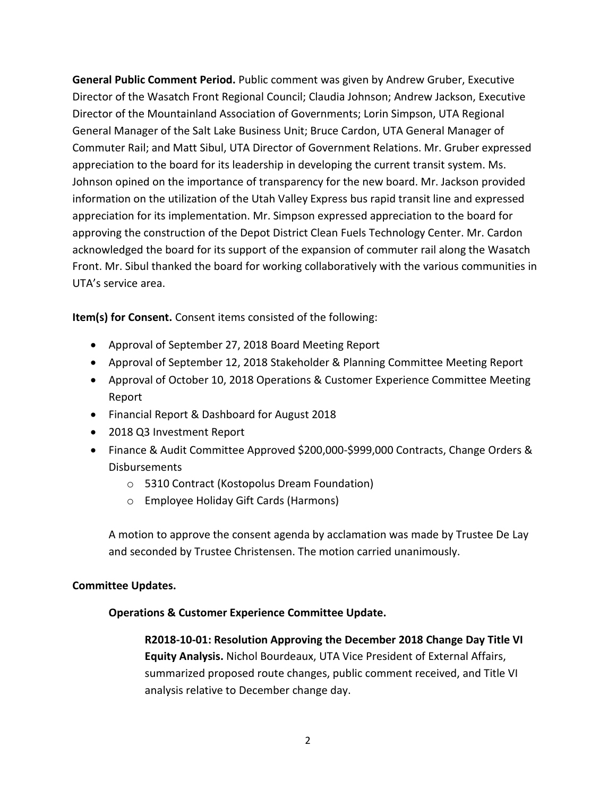**General Public Comment Period.** Public comment was given by Andrew Gruber, Executive Director of the Wasatch Front Regional Council; Claudia Johnson; Andrew Jackson, Executive Director of the Mountainland Association of Governments; Lorin Simpson, UTA Regional General Manager of the Salt Lake Business Unit; Bruce Cardon, UTA General Manager of Commuter Rail; and Matt Sibul, UTA Director of Government Relations. Mr. Gruber expressed appreciation to the board for its leadership in developing the current transit system. Ms. Johnson opined on the importance of transparency for the new board. Mr. Jackson provided information on the utilization of the Utah Valley Express bus rapid transit line and expressed appreciation for its implementation. Mr. Simpson expressed appreciation to the board for approving the construction of the Depot District Clean Fuels Technology Center. Mr. Cardon acknowledged the board for its support of the expansion of commuter rail along the Wasatch Front. Mr. Sibul thanked the board for working collaboratively with the various communities in UTA's service area.

**Item(s) for Consent.** Consent items consisted of the following:

- Approval of September 27, 2018 Board Meeting Report
- Approval of September 12, 2018 Stakeholder & Planning Committee Meeting Report
- Approval of October 10, 2018 Operations & Customer Experience Committee Meeting Report
- Financial Report & Dashboard for August 2018
- 2018 Q3 Investment Report
- Finance & Audit Committee Approved \$200,000-\$999,000 Contracts, Change Orders & Disbursements
	- o 5310 Contract (Kostopolus Dream Foundation)
	- o Employee Holiday Gift Cards (Harmons)

A motion to approve the consent agenda by acclamation was made by Trustee De Lay and seconded by Trustee Christensen. The motion carried unanimously.

# **Committee Updates.**

# **Operations & Customer Experience Committee Update.**

**R2018-10-01: Resolution Approving the December 2018 Change Day Title VI Equity Analysis.** Nichol Bourdeaux, UTA Vice President of External Affairs, summarized proposed route changes, public comment received, and Title VI analysis relative to December change day.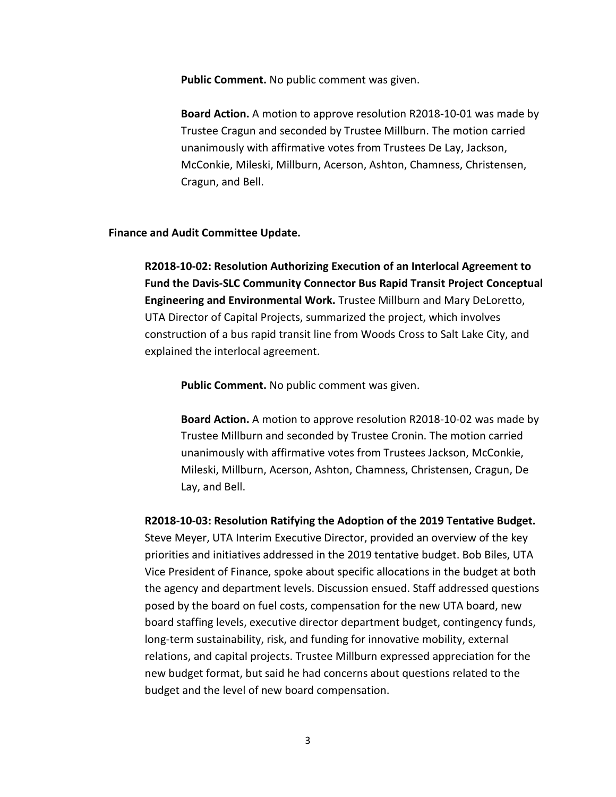**Public Comment.** No public comment was given.

**Board Action.** A motion to approve resolution R2018-10-01 was made by Trustee Cragun and seconded by Trustee Millburn. The motion carried unanimously with affirmative votes from Trustees De Lay, Jackson, McConkie, Mileski, Millburn, Acerson, Ashton, Chamness, Christensen, Cragun, and Bell.

### **Finance and Audit Committee Update.**

**R2018-10-02: Resolution Authorizing Execution of an Interlocal Agreement to Fund the Davis-SLC Community Connector Bus Rapid Transit Project Conceptual Engineering and Environmental Work.** Trustee Millburn and Mary DeLoretto, UTA Director of Capital Projects, summarized the project, which involves construction of a bus rapid transit line from Woods Cross to Salt Lake City, and explained the interlocal agreement.

**Public Comment.** No public comment was given.

**Board Action.** A motion to approve resolution R2018-10-02 was made by Trustee Millburn and seconded by Trustee Cronin. The motion carried unanimously with affirmative votes from Trustees Jackson, McConkie, Mileski, Millburn, Acerson, Ashton, Chamness, Christensen, Cragun, De Lay, and Bell.

**R2018-10-03: Resolution Ratifying the Adoption of the 2019 Tentative Budget.**  Steve Meyer, UTA Interim Executive Director, provided an overview of the key priorities and initiatives addressed in the 2019 tentative budget. Bob Biles, UTA Vice President of Finance, spoke about specific allocations in the budget at both the agency and department levels. Discussion ensued. Staff addressed questions posed by the board on fuel costs, compensation for the new UTA board, new board staffing levels, executive director department budget, contingency funds, long-term sustainability, risk, and funding for innovative mobility, external relations, and capital projects. Trustee Millburn expressed appreciation for the new budget format, but said he had concerns about questions related to the budget and the level of new board compensation.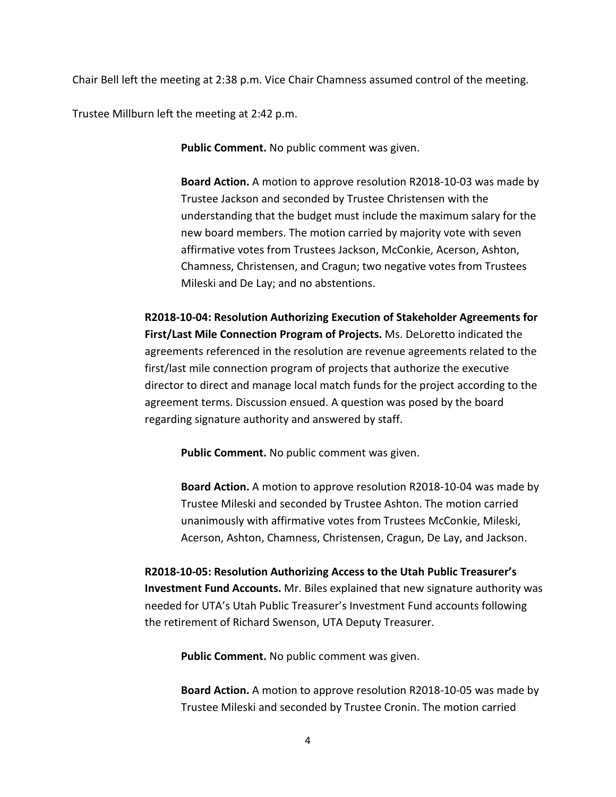Chair Bell left the meeting at 2:38 p.m. Vice Chair Chamness assumed control of the meeting.

Trustee Millburn left the meeting at 2:42 p.m.

**Public Comment.** No public comment was given.

**Board Action.** A motion to approve resolution R2018-10-03 was made by Trustee Jackson and seconded by Trustee Christensen with the understanding that the budget must include the maximum salary for the new board members. The motion carried by majority vote with seven affirmative votes from Trustees Jackson, McConkie, Acerson, Ashton, Chamness, Christensen, and Cragun; two negative votes from Trustees Mileski and De Lay; and no abstentions.

**R2018-10-04: Resolution Authorizing Execution of Stakeholder Agreements for First/Last Mile Connection Program of Projects.** Ms. DeLoretto indicated the agreements referenced in the resolution are revenue agreements related to the first/last mile connection program of projects that authorize the executive director to direct and manage local match funds for the project according to the agreement terms. Discussion ensued. A question was posed by the board regarding signature authority and answered by staff.

**Public Comment.** No public comment was given.

**Board Action.** A motion to approve resolution R2018-10-04 was made by Trustee Mileski and seconded by Trustee Ashton. The motion carried unanimously with affirmative votes from Trustees McConkie, Mileski, Acerson, Ashton, Chamness, Christensen, Cragun, De Lay, and Jackson.

**R2018-10-05: Resolution Authorizing Access to the Utah Public Treasurer's Investment Fund Accounts.** Mr. Biles explained that new signature authority was needed for UTA's Utah Public Treasurer's Investment Fund accounts following the retirement of Richard Swenson, UTA Deputy Treasurer.

**Public Comment.** No public comment was given.

**Board Action.** A motion to approve resolution R2018-10-05 was made by Trustee Mileski and seconded by Trustee Cronin. The motion carried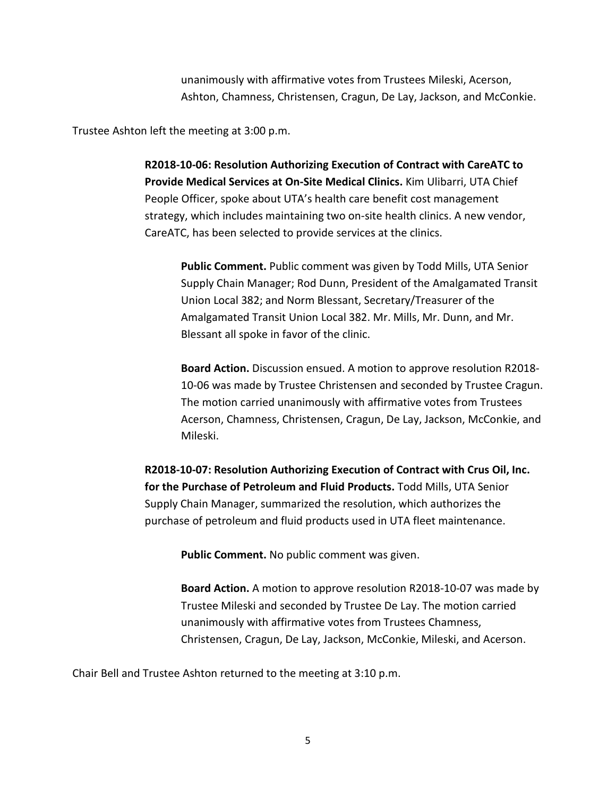unanimously with affirmative votes from Trustees Mileski, Acerson, Ashton, Chamness, Christensen, Cragun, De Lay, Jackson, and McConkie.

Trustee Ashton left the meeting at 3:00 p.m.

**R2018-10-06: Resolution Authorizing Execution of Contract with CareATC to Provide Medical Services at On-Site Medical Clinics.** Kim Ulibarri, UTA Chief People Officer, spoke about UTA's health care benefit cost management strategy, which includes maintaining two on-site health clinics. A new vendor, CareATC, has been selected to provide services at the clinics.

**Public Comment.** Public comment was given by Todd Mills, UTA Senior Supply Chain Manager; Rod Dunn, President of the Amalgamated Transit Union Local 382; and Norm Blessant, Secretary/Treasurer of the Amalgamated Transit Union Local 382. Mr. Mills, Mr. Dunn, and Mr. Blessant all spoke in favor of the clinic.

**Board Action.** Discussion ensued. A motion to approve resolution R2018- 10-06 was made by Trustee Christensen and seconded by Trustee Cragun. The motion carried unanimously with affirmative votes from Trustees Acerson, Chamness, Christensen, Cragun, De Lay, Jackson, McConkie, and Mileski.

**R2018-10-07: Resolution Authorizing Execution of Contract with Crus Oil, Inc. for the Purchase of Petroleum and Fluid Products.** Todd Mills, UTA Senior Supply Chain Manager, summarized the resolution, which authorizes the purchase of petroleum and fluid products used in UTA fleet maintenance.

**Public Comment.** No public comment was given.

**Board Action.** A motion to approve resolution R2018-10-07 was made by Trustee Mileski and seconded by Trustee De Lay. The motion carried unanimously with affirmative votes from Trustees Chamness, Christensen, Cragun, De Lay, Jackson, McConkie, Mileski, and Acerson.

Chair Bell and Trustee Ashton returned to the meeting at 3:10 p.m.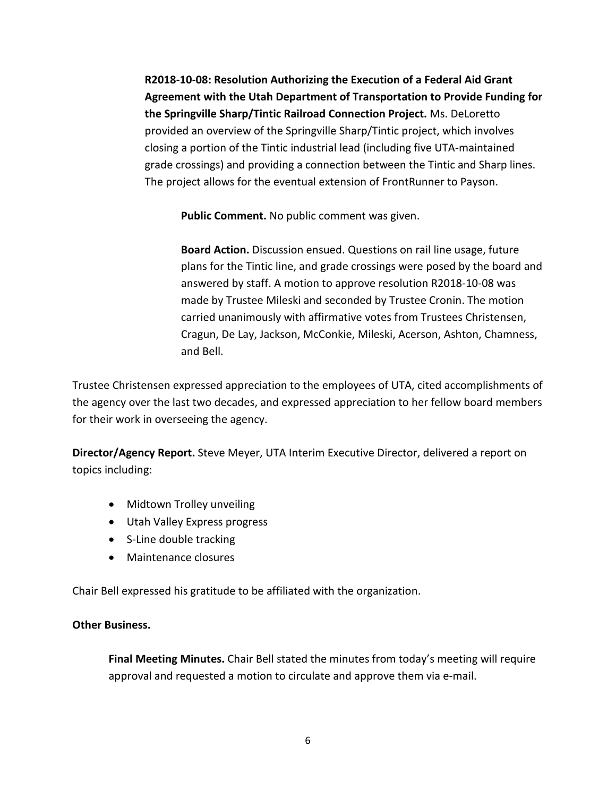**R2018-10-08: Resolution Authorizing the Execution of a Federal Aid Grant Agreement with the Utah Department of Transportation to Provide Funding for the Springville Sharp/Tintic Railroad Connection Project.** Ms. DeLoretto provided an overview of the Springville Sharp/Tintic project, which involves closing a portion of the Tintic industrial lead (including five UTA-maintained grade crossings) and providing a connection between the Tintic and Sharp lines. The project allows for the eventual extension of FrontRunner to Payson.

**Public Comment.** No public comment was given.

**Board Action.** Discussion ensued. Questions on rail line usage, future plans for the Tintic line, and grade crossings were posed by the board and answered by staff. A motion to approve resolution R2018-10-08 was made by Trustee Mileski and seconded by Trustee Cronin. The motion carried unanimously with affirmative votes from Trustees Christensen, Cragun, De Lay, Jackson, McConkie, Mileski, Acerson, Ashton, Chamness, and Bell.

Trustee Christensen expressed appreciation to the employees of UTA, cited accomplishments of the agency over the last two decades, and expressed appreciation to her fellow board members for their work in overseeing the agency.

**Director/Agency Report.** Steve Meyer, UTA Interim Executive Director, delivered a report on topics including:

- Midtown Trolley unveiling
- Utah Valley Express progress
- S-Line double tracking
- Maintenance closures

Chair Bell expressed his gratitude to be affiliated with the organization.

# **Other Business.**

**Final Meeting Minutes.** Chair Bell stated the minutes from today's meeting will require approval and requested a motion to circulate and approve them via e-mail.